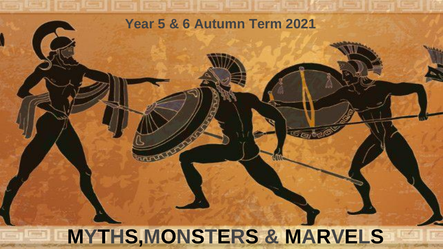## **Year 5 & 6 Autumn Term 2021**

# **MYTHS,MONSTERS & MARVELS**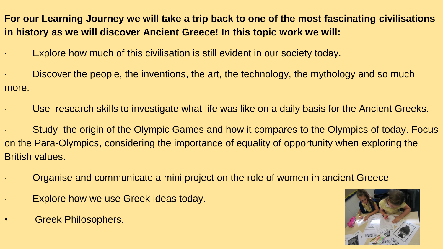**For our Learning Journey we will take a trip back to one of the most fascinating civilisations in history as we will discover Ancient Greece! In this topic work we will:**

Explore how much of this civilisation is still evident in our society today.

Discover the people, the inventions, the art, the technology, the mythology and so much more.

- Use research skills to investigate what life was like on a daily basis for the Ancient Greeks.
- Study the origin of the Olympic Games and how it compares to the Olympics of today. Focus on the Para-Olympics, considering the importance of equality of opportunity when exploring the British values.
	- · Organise and communicate a mini project on the role of women in ancient Greece
	- Explore how we use Greek ideas today.
- Greek Philosophers.

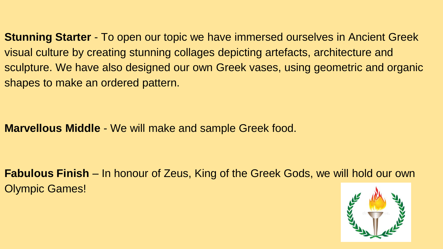**Stunning Starter** - To open our topic we have immersed ourselves in Ancient Greek visual culture by creating stunning collages depicting artefacts, architecture and sculpture. We have also designed our own Greek vases, using geometric and organic shapes to make an ordered pattern.

### **Marvellous Middle** - We will make and sample Greek food.

**Fabulous Finish** – In honour of Zeus, King of the Greek Gods, we will hold our own Olympic Games!

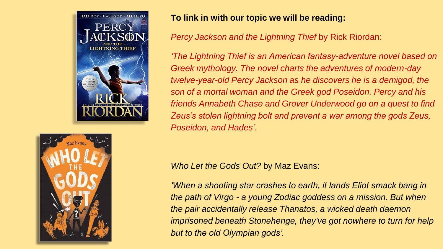



#### **To link in with our topic we will be reading:**

*Percy Jackson and the Lightning Thief* by Rick Riordan:

*'The Lightning Thief is an American fantasy-adventure novel based on Greek mythology. The novel charts the adventures of modern-day twelve-year-old Percy Jackson as he discovers he is a demigod, the son of a mortal woman and the Greek god Poseidon. Percy and his friends Annabeth Chase and Grover Underwood go on a quest to find Zeus's stolen lightning bolt and prevent a war among the gods Zeus, Poseidon, and Hades'.*

*Who Let the Gods Out?* by Maz Evans:

*'When a shooting star crashes to earth, it lands Eliot smack bang in the path of Virgo - a young Zodiac goddess on a mission. But when the pair accidentally release Thanatos, a wicked death daemon imprisoned beneath Stonehenge, they've got nowhere to turn for help but to the old Olympian gods'.*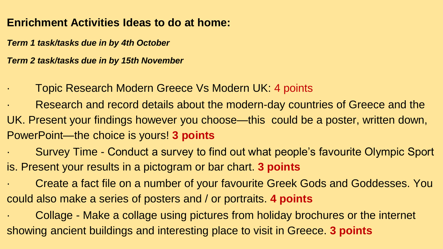### **Enrichment Activities Ideas to do at home:**

*Term 1 task/tasks due in by 4th October*

*Term 2 task/tasks due in by 15th November* 

- · Topic Research Modern Greece Vs Modern UK: 4 points
- Research and record details about the modern-day countries of Greece and the UK. Present your findings however you choose—this could be a poster, written down, PowerPoint—the choice is yours! **3 points**
- Survey Time Conduct a survey to find out what people's favourite Olympic Sport is. Present your results in a pictogram or bar chart. **3 points**
- Create a fact file on a number of your favourite Greek Gods and Goddesses. You could also make a series of posters and / or portraits. **4 points**

Collage - Make a collage using pictures from holiday brochures or the internet showing ancient buildings and interesting place to visit in Greece. **3 points**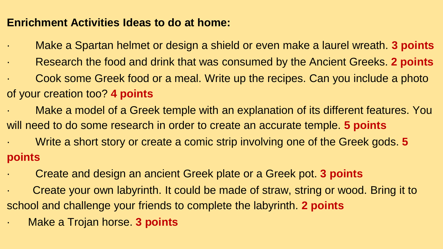### **Enrichment Activities Ideas to do at home:**

- · Make a Spartan helmet or design a shield or even make a laurel wreath. **3 points**
- · Research the food and drink that was consumed by the Ancient Greeks. **2 points**
- Cook some Greek food or a meal. Write up the recipes. Can you include a photo of your creation too? **4 points**
- Make a model of a Greek temple with an explanation of its different features. You will need to do some research in order to create an accurate temple. **5 points**
- · Write a short story or create a comic strip involving one of the Greek gods. **5 points**
- · Create and design an ancient Greek plate or a Greek pot. **3 points**
- Create your own labyrinth. It could be made of straw, string or wood. Bring it to school and challenge your friends to complete the labyrinth. **2 points**
- · Make a Trojan horse. **3 points**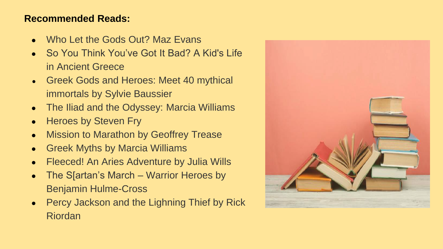#### **Recommended Reads:**

- Who Let the Gods Out? Maz Evans
- So You Think You've Got It Bad? A Kid's Life in Ancient Greece
- Greek Gods and Heroes: Meet 40 mythical immortals by Sylvie Baussier
- The Iliad and the Odyssey: Marcia Williams
- Heroes by Steven Fry
- Mission to Marathon by Geoffrey Trease
- Greek Myths by Marcia Williams
- Fleeced! An Aries Adventure by Julia Wills
- The S[artan's March Warrior Heroes by Benjamin Hulme-Cross
- Percy Jackson and the Lighning Thief by Rick Riordan

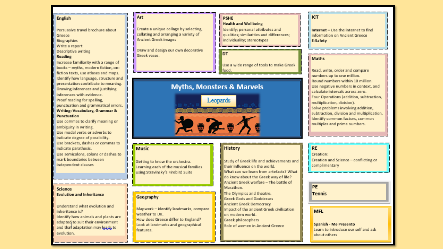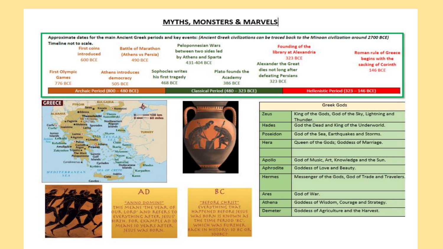#### **MYTHS, MONSTERS & MARVELS**